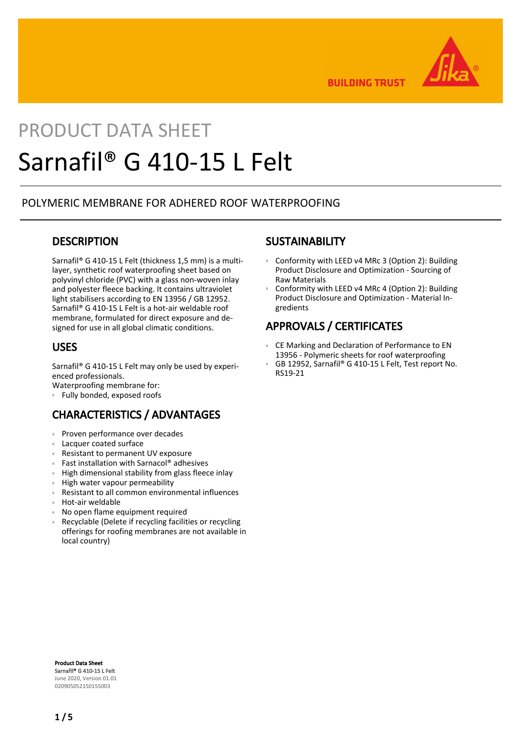

**BUILDING TRUST** 

# PRODUCT DATA SHEET Sarnafil® G 410-15 L Felt

## POLYMERIC MEMBRANE FOR ADHERED ROOF WATERPROOFING

## **DESCRIPTION**

Sarnafil® G 410-15 L Felt (thickness 1,5 mm) is a multilayer, synthetic roof waterproofing sheet based on polyvinyl chloride (PVC) with a glass non-woven inlay and polyester fleece backing. It contains ultraviolet light stabilisers according to EN 13956 / GB 12952. Sarnafil® G 410-15 L Felt is a hot-air weldable roof membrane, formulated for direct exposure and designed for use in all global climatic conditions.

## USES

Sarnafil® G 410-15 L Felt may only be used by experienced professionals.

Waterproofing membrane for:

Fully bonded, exposed roofs

# CHARACTERISTICS / ADVANTAGES

- Proven performance over decades
- Lacquer coated surface
- Resistant to permanent UV exposure
- Fast installation with Sarnacol® adhesives
- High dimensional stability from glass fleece inlay
- High water vapour permeability
- Resistant to all common environmental influences
- Hot-air weldable
- No open flame equipment required
- Recyclable (Delete if recycling facilities or recycling offerings for roofing membranes are not available in local country) ē

### **SUSTAINABILITY**

- Conformity with LEED v4 MRc 3 (Option 2): Building Product Disclosure and Optimization - Sourcing of Raw Materials  $\mathbf{B}$
- Conformity with LEED v4 MRc 4 (Option 2): Building Product Disclosure and Optimization - Material Ingredients Œ

# APPROVALS / CERTIFICATES

- CE Marking and Declaration of Performance to EN 13956 - Polymeric sheets for roof waterproofing  $\,$  m  $\,$
- GB 12952, Sarnafil® G 410-15 L Felt, Test report No. RS19-21 Œ

Product Data Sheet Sarnafil® G 410-15 L Felt June 2020, Version 01.01 020905052150155003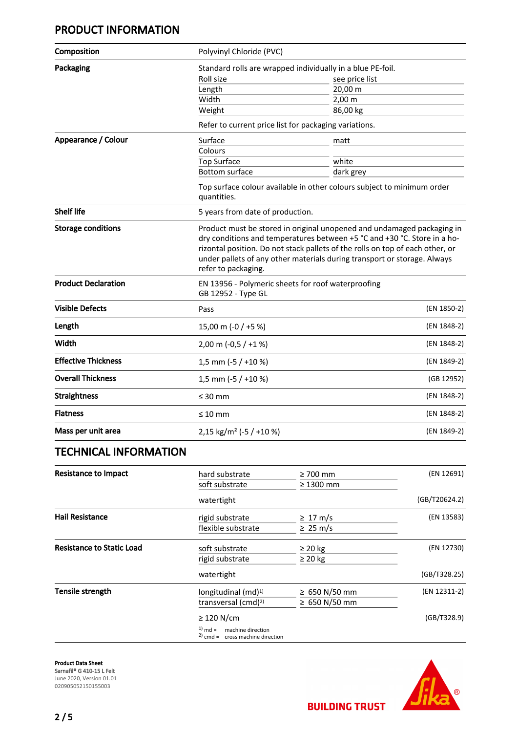# PRODUCT INFORMATION

| Composition                      | Polyvinyl Chloride (PVC)                                                                                                                                                                                                                                                                                                               |                       |               |
|----------------------------------|----------------------------------------------------------------------------------------------------------------------------------------------------------------------------------------------------------------------------------------------------------------------------------------------------------------------------------------|-----------------------|---------------|
| Packaging                        | Standard rolls are wrapped individually in a blue PE-foil.                                                                                                                                                                                                                                                                             |                       |               |
|                                  | Roll size                                                                                                                                                                                                                                                                                                                              | see price list        |               |
|                                  | Length                                                                                                                                                                                                                                                                                                                                 | 20,00 m               |               |
|                                  | Width                                                                                                                                                                                                                                                                                                                                  | $2,00 \, \text{m}$    |               |
|                                  | Weight                                                                                                                                                                                                                                                                                                                                 | 86,00 kg              |               |
|                                  | Refer to current price list for packaging variations.                                                                                                                                                                                                                                                                                  |                       |               |
| Appearance / Colour              | Surface                                                                                                                                                                                                                                                                                                                                | matt                  |               |
|                                  | Colours                                                                                                                                                                                                                                                                                                                                |                       |               |
|                                  | <b>Top Surface</b>                                                                                                                                                                                                                                                                                                                     | white                 |               |
|                                  | <b>Bottom surface</b>                                                                                                                                                                                                                                                                                                                  | dark grey             |               |
|                                  | Top surface colour available in other colours subject to minimum order<br>quantities.                                                                                                                                                                                                                                                  |                       |               |
| <b>Shelf life</b>                | 5 years from date of production.                                                                                                                                                                                                                                                                                                       |                       |               |
| <b>Storage conditions</b>        | Product must be stored in original unopened and undamaged packaging in<br>dry conditions and temperatures between +5 °C and +30 °C. Store in a ho-<br>rizontal position. Do not stack pallets of the rolls on top of each other, or<br>under pallets of any other materials during transport or storage. Always<br>refer to packaging. |                       |               |
| <b>Product Declaration</b>       | EN 13956 - Polymeric sheets for roof waterproofing<br>GB 12952 - Type GL                                                                                                                                                                                                                                                               |                       |               |
| <b>Visible Defects</b>           | Pass                                                                                                                                                                                                                                                                                                                                   |                       | (EN 1850-2)   |
| Length                           | 15,00 m (-0 / +5 %)                                                                                                                                                                                                                                                                                                                    |                       | (EN 1848-2)   |
| Width                            | $2,00 \text{ m } (-0.5 / +1 \%)$                                                                                                                                                                                                                                                                                                       |                       | (EN 1848-2)   |
| <b>Effective Thickness</b>       | 1,5 mm (-5 / +10 %)                                                                                                                                                                                                                                                                                                                    |                       | (EN 1849-2)   |
| <b>Overall Thickness</b>         | 1,5 mm (-5 / +10 %)                                                                                                                                                                                                                                                                                                                    |                       | (GB 12952)    |
| <b>Straightness</b>              | $\leq 30$ mm                                                                                                                                                                                                                                                                                                                           |                       | (EN 1848-2)   |
| <b>Flatness</b>                  | $\leq 10$ mm                                                                                                                                                                                                                                                                                                                           |                       | (EN 1848-2)   |
| Mass per unit area               | 2,15 kg/m <sup>2</sup> (-5 / +10 %)                                                                                                                                                                                                                                                                                                    |                       | (EN 1849-2)   |
| <b>TECHNICAL INFORMATION</b>     |                                                                                                                                                                                                                                                                                                                                        |                       |               |
| <b>Resistance to Impact</b>      | hard substrate                                                                                                                                                                                                                                                                                                                         | $\geq 700$ mm         | (EN 12691)    |
|                                  | soft substrate                                                                                                                                                                                                                                                                                                                         | $\geq 1300$ mm        |               |
|                                  | watertight                                                                                                                                                                                                                                                                                                                             |                       | (GB/T20624.2) |
| <b>Hail Resistance</b>           | rigid substrate                                                                                                                                                                                                                                                                                                                        | $\geq 17 \text{ m/s}$ | (EN 13583)    |
|                                  | flexible substrate                                                                                                                                                                                                                                                                                                                     | $\geq 25 \text{ m/s}$ |               |
| <b>Resistance to Static Load</b> | soft substrate                                                                                                                                                                                                                                                                                                                         | $\geq 20$ kg          | (EN 12730)    |
|                                  | rigid substrate                                                                                                                                                                                                                                                                                                                        | $\geq 20$ kg          |               |
|                                  | watertight                                                                                                                                                                                                                                                                                                                             |                       | (GB/T328.25)  |
| Tensile strength                 | longitudinal (md) <sup>1)</sup>                                                                                                                                                                                                                                                                                                        | ≥ 650 N/50 mm         | (EN 12311-2)  |
|                                  | transversal (cmd) <sup>2)</sup>                                                                                                                                                                                                                                                                                                        | ≥ 650 N/50 mm         |               |
|                                  |                                                                                                                                                                                                                                                                                                                                        |                       |               |

#### ≥ 120 N/cm (GB/T328.9)

 $1)$  md = machine direction

 $2)$  cmd = cross machine direction

Product Data Sheet Sarnafil® G 410-15 L Felt June 2020, Version 01.01 020905052150155003



**BUILDING TRUST**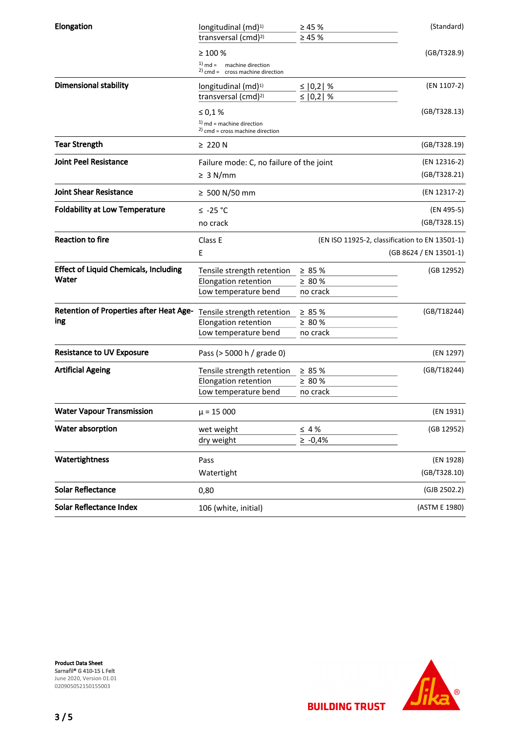| (GB/T328.9)                                               |  |
|-----------------------------------------------------------|--|
|                                                           |  |
|                                                           |  |
| (EN 1107-2)                                               |  |
|                                                           |  |
| (GB/T328.13)                                              |  |
|                                                           |  |
| (GB/T328.19)                                              |  |
| (EN 12316-2)                                              |  |
| (GB/T328.21)                                              |  |
| (EN 12317-2)                                              |  |
| (EN 495-5)                                                |  |
| (GB/T328.15)                                              |  |
| (EN ISO 11925-2, classification to EN 13501-1)<br>Class E |  |
| (GB 8624 / EN 13501-1)                                    |  |
| (GB 12952)                                                |  |
|                                                           |  |
|                                                           |  |
| (GB/T18244)                                               |  |
|                                                           |  |
|                                                           |  |
| (EN 1297)                                                 |  |
|                                                           |  |
| (GB/T18244)                                               |  |
|                                                           |  |
|                                                           |  |
| (EN 1931)                                                 |  |
| (GB 12952)                                                |  |
|                                                           |  |
| (EN 1928)                                                 |  |
| (GB/T328.10)                                              |  |
| (GJB 2502.2)                                              |  |
| (ASTM E 1980)                                             |  |
|                                                           |  |

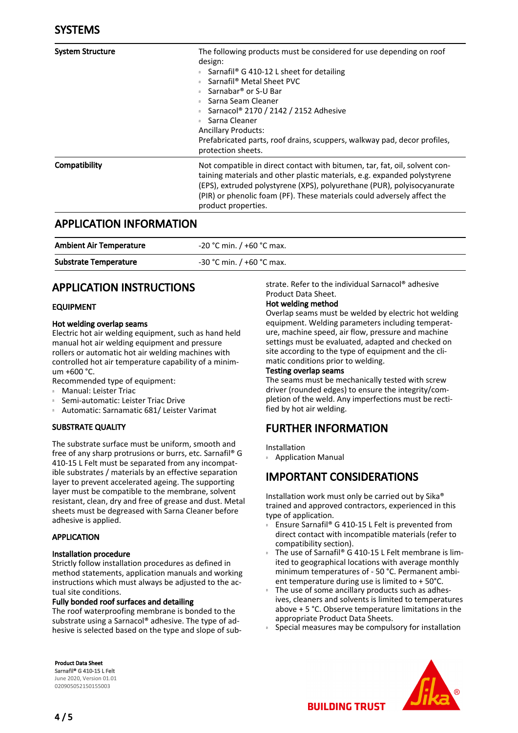| <b>System Structure</b> | The following products must be considered for use depending on roof<br>design:<br>Sarnafil <sup>®</sup> G 410-12 L sheet for detailing<br>Sarnafil <sup>®</sup> Metal Sheet PVC<br>Sarnabar® or S-U Bar<br>Sarna Seam Cleaner<br>Sarnacol <sup>®</sup> 2170 / 2142 / 2152 Adhesive<br>Sarna Cleaner<br><b>Ancillary Products:</b><br>Prefabricated parts, roof drains, scuppers, walkway pad, decor profiles,<br>protection sheets. |
|-------------------------|-------------------------------------------------------------------------------------------------------------------------------------------------------------------------------------------------------------------------------------------------------------------------------------------------------------------------------------------------------------------------------------------------------------------------------------|
| Compatibility           | Not compatible in direct contact with bitumen, tar, fat, oil, solvent con-<br>taining materials and other plastic materials, e.g. expanded polystyrene<br>(EPS), extruded polystyrene (XPS), polyurethane (PUR), polyisocyanurate<br>(PIR) or phenolic foam (PF). These materials could adversely affect the<br>product properties.                                                                                                 |

## APPLICATION INFORMATION

| <b>Ambient Air Temperature</b> | -20 °C min. / +60 °C max.   |
|--------------------------------|-----------------------------|
| <b>Substrate Temperature</b>   | $-30$ °C min. / +60 °C max. |

# APPLICATION INSTRUCTIONS

#### EQUIPMENT

#### Hot welding overlap seams

Electric hot air welding equipment, such as hand held manual hot air welding equipment and pressure rollers or automatic hot air welding machines with controlled hot air temperature capability of a minimum +600 °C.

- Recommended type of equipment:
- Manual: Leister Triac
- Semi-automatic: Leister Triac Drive
- Automatic: Sarnamatic 681/ Leister Varimat

#### SUBSTRATE QUALITY

The substrate surface must be uniform, smooth and free of any sharp protrusions or burrs, etc. Sarnafil® G 410-15 L Felt must be separated from any incompatible substrates / materials by an effective separation layer to prevent accelerated ageing. The supporting layer must be compatible to the membrane, solvent resistant, clean, dry and free of grease and dust. Metal sheets must be degreased with Sarna Cleaner before adhesive is applied.

#### APPLICATION

#### Installation procedure

Strictly follow installation procedures as defined in method statements, application manuals and working instructions which must always be adjusted to the actual site conditions.

#### Fully bonded roof surfaces and detailing

The roof waterproofing membrane is bonded to the substrate using a Sarnacol® adhesive. The type of adhesive is selected based on the type and slope of sub-

Product Data Sheet Sarnafil® G 410-15 L Felt June 2020, Version 01.01 020905052150155003

strate. Refer to the individual Sarnacol® adhesive Product Data Sheet.

#### Hot welding method

Overlap seams must be welded by electric hot welding equipment. Welding parameters including temperature, machine speed, air flow, pressure and machine settings must be evaluated, adapted and checked on site according to the type of equipment and the climatic conditions prior to welding.

#### Testing overlap seams

The seams must be mechanically tested with screw driver (rounded edges) to ensure the integrity/completion of the weld. Any imperfections must be rectified by hot air welding.

# FURTHER INFORMATION

Installation

Application Manual

# IMPORTANT CONSIDERATIONS

Installation work must only be carried out by Sika® trained and approved contractors, experienced in this type of application.

- Ensure Sarnafil® G 410-15 L Felt is prevented from direct contact with incompatible materials (refer to compatibility section). Œ
- The use of Sarnafil® G 410-15 L Felt membrane is limited to geographical locations with average monthly minimum temperatures of - 50 °C. Permanent ambient temperature during use is limited to + 50°C. Œ
- The use of some ancillary products such as adhesives, cleaners and solvents is limited to temperatures above + 5 °C. Observe temperature limitations in the appropriate Product Data Sheets. Œ
- Special measures may be compulsory for installation



**BUILDING TRUST**